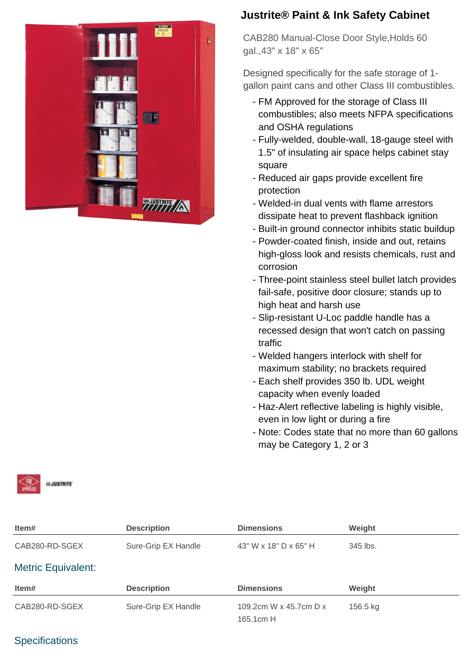

# **Justrite® Paint & Ink Safety Cabinet**

CAB280 Manual-Close Door Style,Holds 60 gal.,43" x 18" x 65"

Designed specifically for the safe storage of 1 gallon paint cans and other Class III combustibles.

- FM Approved for the storage of Class III combustibles; also meets NFPA specifications and OSHA regulations
- Fully-welded, double-wall, 18-gauge steel with 1.5" of insulating air space helps cabinet stay square
- Reduced air gaps provide excellent fire protection
- Welded-in dual vents with flame arrestors dissipate heat to prevent flashback ignition
- Built-in ground connector inhibits static buildup
- Powder-coated finish, inside and out, retains high-gloss look and resists chemicals, rust and corrosion
- Three-point stainless steel bullet latch provides fail-safe, positive door closure; stands up to high heat and harsh use
- Slip-resistant U-Loc paddle handle has a recessed design that won't catch on passing traffic
- Welded hangers interlock with shelf for maximum stability; no brackets required
- Each shelf provides 350 lb. UDL weight capacity when evenly loaded
- Haz-Alert reflective labeling is highly visible, even in low light or during a fire
- Note: Codes state that no more than 60 gallons may be Category 1, 2 or 3



| Item#                     | <b>Description</b>  | <b>Dimensions</b>                   | Weight   |
|---------------------------|---------------------|-------------------------------------|----------|
| CAB280-RD-SGEX            | Sure-Grip EX Handle | 43" W x 18" D x 65" H               | 345 lbs. |
| <b>Metric Equivalent:</b> |                     |                                     |          |
| Item#                     | <b>Description</b>  | <b>Dimensions</b>                   | Weight   |
| CAB280-RD-SGEX            | Sure-Grip EX Handle | 109.2cm W x 45.7cm D x<br>165.1cm H | 156.5 kg |

## **Specifications**